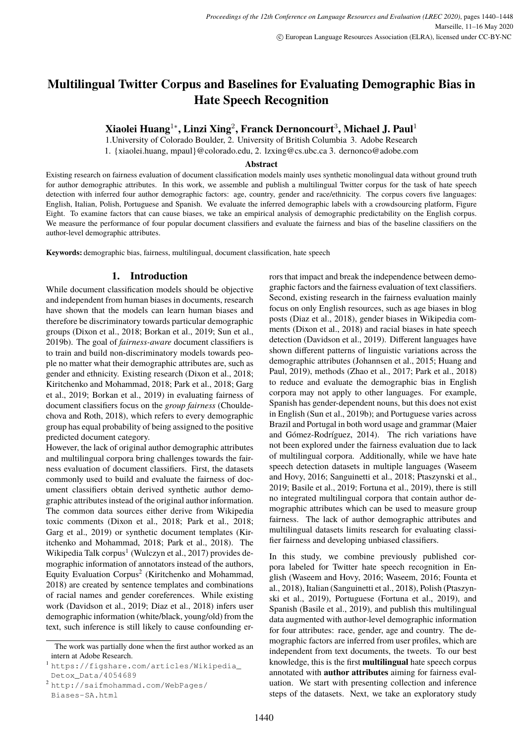# <span id="page-0-0"></span>**Multilingual Twitter Corpus and Baselines for Evaluating Demographic Bias in Hate Speech Recognition**

**Xiaolei Huang**<sup>1</sup><sup>∗</sup> **, Linzi Xing**<sup>2</sup> **, Franck Dernoncourt**<sup>3</sup> **, Michael J. Paul**<sup>1</sup>

1.University of Colorado Boulder, 2. University of British Columbia 3. Adobe Research 1. {xiaolei.huang, mpaul}@colorado.edu, 2. lzxing@cs.ubc.ca 3. dernonco@adobe.com

#### **Abstract**

Existing research on fairness evaluation of document classification models mainly uses synthetic monolingual data without ground truth for author demographic attributes. In this work, we assemble and publish a multilingual Twitter corpus for the task of hate speech detection with inferred four author demographic factors: age, country, gender and race/ethnicity. The corpus covers five languages: English, Italian, Polish, Portuguese and Spanish. We evaluate the inferred demographic labels with a crowdsourcing platform, Figure Eight. To examine factors that can cause biases, we take an empirical analysis of demographic predictability on the English corpus. We measure the performance of four popular document classifiers and evaluate the fairness and bias of the baseline classifiers on the author-level demographic attributes.

**Keywords:** demographic bias, fairness, multilingual, document classification, hate speech

# **1. Introduction**

While document classification models should be objective and independent from human biases in documents, research have shown that the models can learn human biases and therefore be discriminatory towards particular demographic groups (Dixon et al., 2018; Borkan et al., 2019; Sun et al., 2019b). The goal of *fairness-aware* document classifiers is to train and build non-discriminatory models towards people no matter what their demographic attributes are, such as gender and ethnicity. Existing research (Dixon et al., 2018; Kiritchenko and Mohammad, 2018; Park et al., 2018; Garg et al., 2019; Borkan et al., 2019) in evaluating fairness of document classifiers focus on the *group fairness* (Chouldechova and Roth, 2018), which refers to every demographic group has equal probability of being assigned to the positive predicted document category.

However, the lack of original author demographic attributes and multilingual corpora bring challenges towards the fairness evaluation of document classifiers. First, the datasets commonly used to build and evaluate the fairness of document classifiers obtain derived synthetic author demographic attributes instead of the original author information. The common data sources either derive from Wikipedia toxic comments (Dixon et al., 2018; Park et al., 2018; Garg et al., 2019) or synthetic document templates (Kiritchenko and Mohammad, 2018; Park et al., 2018). The Wikipedia Talk corpus<sup>1</sup> (Wulczyn et al., 2017) provides demographic information of annotators instead of the authors, Equity Evaluation Corpus<sup>2</sup> (Kiritchenko and Mohammad, 2018) are created by sentence templates and combinations of racial names and gender coreferences. While existing work (Davidson et al., 2019; Diaz et al., 2018) infers user demographic information (white/black, young/old) from the text, such inference is still likely to cause confounding er-

<sup>2</sup> [http://saifmohammad.com/WebPages/](http://saifmohammad.com/WebPages/Biases-SA.html) [Biases-SA.html](http://saifmohammad.com/WebPages/Biases-SA.html)

rors that impact and break the independence between demographic factors and the fairness evaluation of text classifiers. Second, existing research in the fairness evaluation mainly focus on only English resources, such as age biases in blog posts (Diaz et al., 2018), gender biases in Wikipedia comments (Dixon et al., 2018) and racial biases in hate speech detection (Davidson et al., 2019). Different languages have shown different patterns of linguistic variations across the demographic attributes (Johannsen et al., 2015; Huang and Paul, 2019), methods (Zhao et al., 2017; Park et al., 2018) to reduce and evaluate the demographic bias in English corpora may not apply to other languages. For example, Spanish has gender-dependent nouns, but this does not exist in English (Sun et al., 2019b); and Portuguese varies across Brazil and Portugal in both word usage and grammar (Maier and Gómez-Rodríguez, 2014). The rich variations have not been explored under the fairness evaluation due to lack of multilingual corpora. Additionally, while we have hate speech detection datasets in multiple languages (Waseem and Hovy, 2016; Sanguinetti et al., 2018; Ptaszynski et al., 2019; Basile et al., 2019; Fortuna et al., 2019), there is still no integrated multilingual corpora that contain author demographic attributes which can be used to measure group fairness. The lack of author demographic attributes and multilingual datasets limits research for evaluating classifier fairness and developing unbiased classifiers.

In this study, we combine previously published corpora labeled for Twitter hate speech recognition in English (Waseem and Hovy, 2016; Waseem, 2016; Founta et al., 2018), Italian (Sanguinetti et al., 2018), Polish (Ptaszynski et al., 2019), Portuguese (Fortuna et al., 2019), and Spanish (Basile et al., 2019), and publish this multilingual data augmented with author-level demographic information for four attributes: race, gender, age and country. The demographic factors are inferred from user profiles, which are independent from text documents, the tweets. To our best knowledge, this is the first **multilingual** hate speech corpus annotated with **author attributes** aiming for fairness evaluation. We start with presenting collection and inference steps of the datasets. Next, we take an exploratory study

The work was partially done when the first author worked as an intern at Adobe Research.

<sup>1</sup> [https://figshare.com/articles/Wikipedia\\_](https://figshare.com/articles/Wikipedia_Detox_Data/4054689) [Detox\\_Data/4054689](https://figshare.com/articles/Wikipedia_Detox_Data/4054689)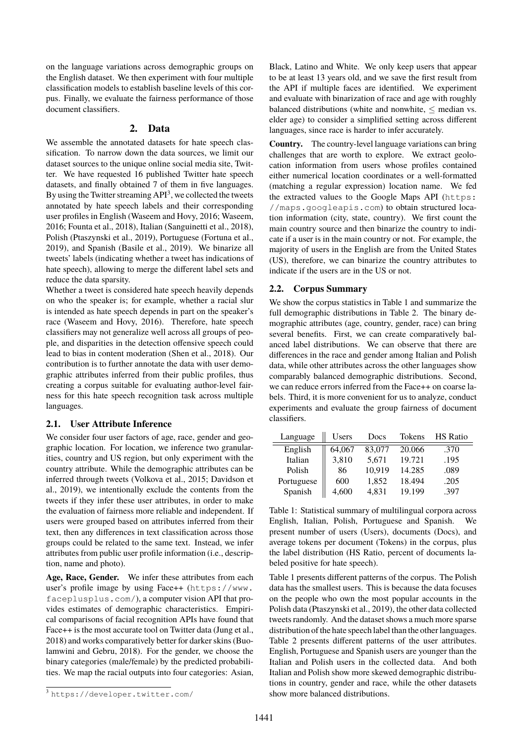on the language variations across demographic groups on the English dataset. We then experiment with four multiple classification models to establish baseline levels of this corpus. Finally, we evaluate the fairness performance of those document classifiers.

#### **2. Data**

We assemble the annotated datasets for hate speech classification. To narrow down the data sources, we limit our dataset sources to the unique online social media site, Twitter. We have requested 16 published Twitter hate speech datasets, and finally obtained 7 of them in five languages. By using the Twitter streaming  $API<sup>3</sup>$  $API<sup>3</sup>$  $API<sup>3</sup>$ , we collected the tweets annotated by hate speech labels and their corresponding user profiles in English [\(Waseem and Hovy, 2016; Waseem,](#page-0-0) [2016; Founta et al., 2018\)](#page-0-0), Italian [\(Sanguinetti et al., 2018\)](#page-0-0), Polish [\(Ptaszynski et al., 2019\)](#page-0-0), Portuguese [\(Fortuna et al.,](#page-0-0) [2019\)](#page-0-0), and Spanish [\(Basile et al., 2019\)](#page-0-0). We binarize all tweets' labels (indicating whether a tweet has indications of hate speech), allowing to merge the different label sets and reduce the data sparsity.

Whether a tweet is considered hate speech heavily depends on who the speaker is; for example, whether a racial slur is intended as hate speech depends in part on the speaker's race [\(Waseem and Hovy, 2016\)](#page-0-0). Therefore, hate speech classifiers may not generalize well across all groups of people, and disparities in the detection offensive speech could lead to bias in content moderation [\(Shen et al., 2018\)](#page-0-0). Our contribution is to further annotate the data with user demographic attributes inferred from their public profiles, thus creating a corpus suitable for evaluating author-level fairness for this hate speech recognition task across multiple languages.

## **2.1. User Attribute Inference**

We consider four user factors of age, race, gender and geographic location. For location, we inference two granularities, country and US region, but only experiment with the country attribute. While the demographic attributes can be inferred through tweets [\(Volkova et al., 2015; Davidson et](#page-0-0) [al., 2019\)](#page-0-0), we intentionally exclude the contents from the tweets if they infer these user attributes, in order to make the evaluation of fairness more reliable and independent. If users were grouped based on attributes inferred from their text, then any differences in text classification across those groups could be related to the same text. Instead, we infer attributes from public user profile information (i.e., description, name and photo).

**Age, Race, Gender.** We infer these attributes from each user's profile image by using Face++ ([https://www.](https://www.faceplusplus.com/) [faceplusplus.com/](https://www.faceplusplus.com/)), a computer vision API that provides estimates of demographic characteristics. Empirical comparisons of facial recognition APIs have found that Face++ is the most accurate tool on Twitter data [\(Jung et al.,](#page-0-0) [2018\)](#page-0-0) and works comparatively better for darker skins [\(Buo](#page-0-0)[lamwini and Gebru, 2018\)](#page-0-0). For the gender, we choose the binary categories (male/female) by the predicted probabilities. We map the racial outputs into four categories: Asian, Black, Latino and White. We only keep users that appear to be at least 13 years old, and we save the first result from the API if multiple faces are identified. We experiment and evaluate with binarization of race and age with roughly balanced distributions (white and nonwhite,  $\leq$  median vs. elder age) to consider a simplified setting across different languages, since race is harder to infer accurately.

**Country.** The country-level language variations can bring challenges that are worth to explore. We extract geolocation information from users whose profiles contained either numerical location coordinates or a well-formatted (matching a regular expression) location name. We fed the extracted values to the Google Maps API ([https:](https://maps.googleapis.com) [//maps.googleapis.com](https://maps.googleapis.com)) to obtain structured location information (city, state, country). We first count the main country source and then binarize the country to indicate if a user is in the main country or not. For example, the majority of users in the English are from the United States (US), therefore, we can binarize the country attributes to indicate if the users are in the US or not.

#### **2.2. Corpus Summary**

We show the corpus statistics in Table [1](#page-1-0) and summarize the full demographic distributions in Table [2.](#page-2-0) The binary demographic attributes (age, country, gender, race) can bring several benefits. First, we can create comparatively balanced label distributions. We can observe that there are differences in the race and gender among Italian and Polish data, while other attributes across the other languages show comparably balanced demographic distributions. Second, we can reduce errors inferred from the Face++ on coarse labels. Third, it is more convenient for us to analyze, conduct experiments and evaluate the group fairness of document classifiers.

| Language   | Users  | Docs   | Tokens | <b>HS</b> Ratio |
|------------|--------|--------|--------|-----------------|
| English    | 64,067 | 83,077 | 20.066 | .370            |
| Italian    | 3,810  | 5.671  | 19.721 | .195            |
| Polish     | 86     | 10,919 | 14.285 | .089            |
| Portuguese | 600    | 1,852  | 18.494 | .205            |
| Spanish    | 4,600  | 4,831  | 19.199 | .397            |

<span id="page-1-0"></span>Table 1: Statistical summary of multilingual corpora across English, Italian, Polish, Portuguese and Spanish. We present number of users (Users), documents (Docs), and average tokens per document (Tokens) in the corpus, plus the label distribution (HS Ratio, percent of documents labeled positive for hate speech).

Table [1](#page-1-0) presents different patterns of the corpus. The Polish data has the smallest users. This is because the data focuses on the people who own the most popular accounts in the Polish data [\(Ptaszynski et al., 2019\)](#page-0-0), the other data collected tweets randomly. And the dataset shows a much more sparse distribution of the hate speech label than the other languages. Table [2](#page-2-0) presents different patterns of the user attributes. English, Portuguese and Spanish users are younger than the Italian and Polish users in the collected data. And both Italian and Polish show more skewed demographic distributions in country, gender and race, while the other datasets show more balanced distributions.

<sup>3</sup> <https://developer.twitter.com/>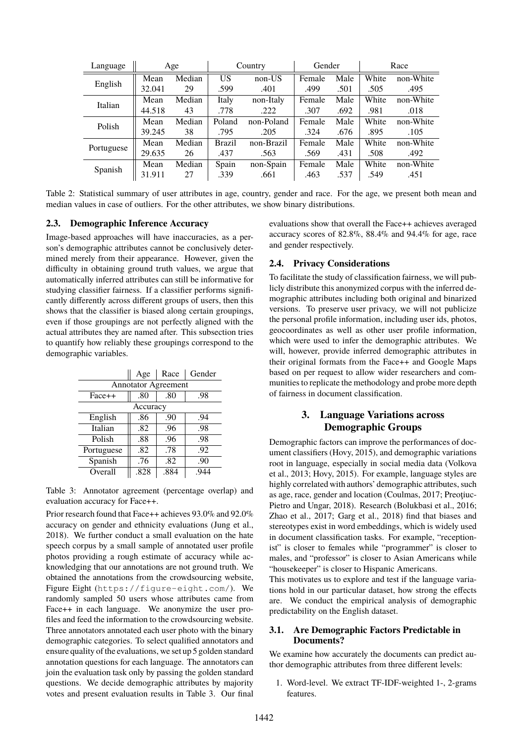| Language   |        | Age    | Country       |            | Gender |      | Race  |           |  |
|------------|--------|--------|---------------|------------|--------|------|-------|-----------|--|
| English    | Mean   | Median | US            | non-US     | Female | Male | White | non-White |  |
|            | 32.041 | 29     | .599          | .401       | .499   | .501 | .505  | .495      |  |
|            | Mean   | Median | Italy         | non-Italy  | Female | Male | White | non-White |  |
| Italian    | 44.518 | 43     | .778          | .222       | .307   | .692 | .981  | .018      |  |
| Polish     | Mean   | Median | Poland        | non-Poland | Female | Male | White | non-White |  |
|            | 39.245 | 38     | .795          | .205       | .324   | .676 | .895  | .105      |  |
| Portuguese | Mean   | Median | <b>Brazil</b> | non-Brazil | Female | Male | White | non-White |  |
|            | 29.635 | 26     | .437          | .563       | .569   | .431 | .508  | .492      |  |
|            | Mean   | Median | Spain         | non-Spain  | Female | Male | White | non-White |  |
| Spanish    | 31.911 | 27     | .339          | .661       | .463   | .537 | .549  | .451      |  |

<span id="page-2-0"></span>Table 2: Statistical summary of user attributes in age, country, gender and race. For the age, we present both mean and median values in case of outliers. For the other attributes, we show binary distributions.

## **2.3. Demographic Inference Accuracy**

Image-based approaches will have inaccuracies, as a person's demographic attributes cannot be conclusively determined merely from their appearance. However, given the difficulty in obtaining ground truth values, we argue that automatically inferred attributes can still be informative for studying classifier fairness. If a classifier performs significantly differently across different groups of users, then this shows that the classifier is biased along certain groupings, even if those groupings are not perfectly aligned with the actual attributes they are named after. This subsection tries to quantify how reliably these groupings correspond to the demographic variables.

|                            | Age      | Race | Gender |  |  |  |  |  |  |  |
|----------------------------|----------|------|--------|--|--|--|--|--|--|--|
| <b>Annotator Agreement</b> |          |      |        |  |  |  |  |  |  |  |
| $Face++$                   | .80      | .80  | .98    |  |  |  |  |  |  |  |
|                            | Accuracy |      |        |  |  |  |  |  |  |  |
| English                    | .86      | .90  | .94    |  |  |  |  |  |  |  |
| Italian                    | .82      | .96  | .98    |  |  |  |  |  |  |  |
| Polish                     | .88      | .96  | .98    |  |  |  |  |  |  |  |
| Portuguese                 | .82      | .78  | .92    |  |  |  |  |  |  |  |
| Spanish                    | .76      | .82  | .90    |  |  |  |  |  |  |  |
| Overall                    | .828     | .884 | -944   |  |  |  |  |  |  |  |

<span id="page-2-1"></span>Table 3: Annotator agreement (percentage overlap) and evaluation accuracy for Face++.

Prior research found that Face++ achieves 93.0% and 92.0% accuracy on gender and ethnicity evaluations [\(Jung et al.,](#page-0-0) [2018\)](#page-0-0). We further conduct a small evaluation on the hate speech corpus by a small sample of annotated user profile photos providing a rough estimate of accuracy while acknowledging that our annotations are not ground truth. We obtained the annotations from the crowdsourcing website, Figure Eight (<https://figure-eight.com/>). We randomly sampled 50 users whose attributes came from Face++ in each language. We anonymize the user profiles and feed the information to the crowdsourcing website. Three annotators annotated each user photo with the binary demographic categories. To select qualified annotators and ensure quality of the evaluations, we set up 5 golden standard annotation questions for each language. The annotators can join the evaluation task only by passing the golden standard questions. We decide demographic attributes by majority votes and present evaluation results in Table [3.](#page-2-1) Our final evaluations show that overall the Face++ achieves averaged accuracy scores of 82.8%, 88.4% and 94.4% for age, race and gender respectively.

## **2.4. Privacy Considerations**

To facilitate the study of classification fairness, we will publicly distribute this anonymized corpus with the inferred demographic attributes including both original and binarized versions. To preserve user privacy, we will not publicize the personal profile information, including user ids, photos, geocoordinates as well as other user profile information, which were used to infer the demographic attributes. We will, however, provide inferred demographic attributes in their original formats from the Face++ and Google Maps based on per request to allow wider researchers and communities to replicate the methodology and probe more depth of fairness in document classification.

# **3. Language Variations across Demographic Groups**

Demographic factors can improve the performances of document classifiers [\(Hovy, 2015\)](#page-0-0), and demographic variations root in language, especially in social media data [\(Volkova](#page-0-0) [et al., 2013; Hovy, 2015\)](#page-0-0). For example, language styles are highly correlated with authors' demographic attributes, such as age, race, gender and location [\(Coulmas, 2017; Preoţiuc-](#page-0-0)[Pietro and Ungar, 2018\)](#page-0-0). Research [\(Bolukbasi et al., 2016;](#page-0-0) [Zhao et al., 2017; Garg et al., 2018\)](#page-0-0) find that biases and stereotypes exist in word embeddings, which is widely used in document classification tasks. For example, "receptionist" is closer to females while "programmer" is closer to males, and "professor" is closer to Asian Americans while "housekeeper" is closer to Hispanic Americans.

This motivates us to explore and test if the language variations hold in our particular dataset, how strong the effects are. We conduct the empirical analysis of demographic predictability on the English dataset.

## **3.1. Are Demographic Factors Predictable in Documents?**

We examine how accurately the documents can predict author demographic attributes from three different levels:

1. Word-level. We extract TF-IDF-weighted 1-, 2-grams features.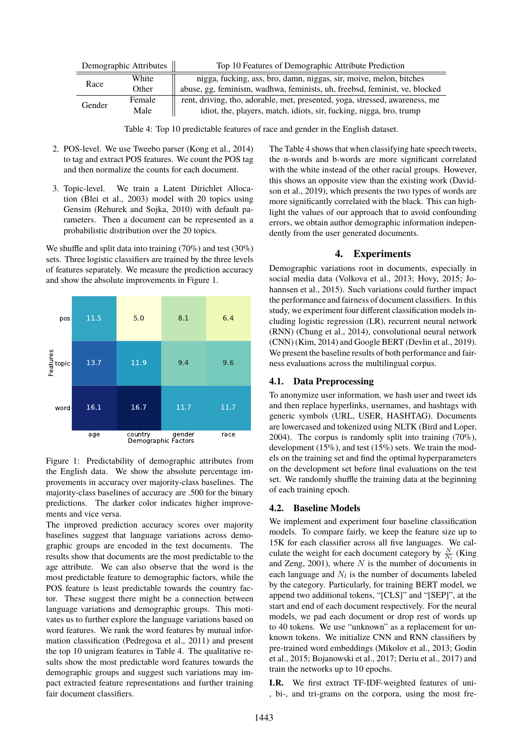| Demographic Attributes |        | Top 10 Features of Demographic Attribute Prediction                         |
|------------------------|--------|-----------------------------------------------------------------------------|
| Race                   | White  | nigga, fucking, ass, bro, damn, niggas, sir, moive, melon, bitches          |
|                        | Other  | abuse, gg, feminism, wadhwa, feminists, uh, freebsd, feminist, ve, blocked  |
| Gender                 | Female | rent, driving, tho, adorable, met, presented, yoga, stressed, awareness, me |
|                        | Male   | idiot, the, players, match, idiots, sir, fucking, nigga, bro, trump         |

<span id="page-3-1"></span>Table 4: Top 10 predictable features of race and gender in the English dataset.

- 2. POS-level. We use Tweebo parser [\(Kong et al., 2014\)](#page-0-0) to tag and extract POS features. We count the POS tag and then normalize the counts for each document.
- 3. Topic-level. We train a Latent Dirichlet Allocation [\(Blei et al., 2003\)](#page-0-0) model with 20 topics using Gensim [\(Rehurek and Sojka, 2010\)](#page-0-0) with default parameters. Then a document can be represented as a probabilistic distribution over the 20 topics.

We shuffle and split data into training (70%) and test (30%) sets. Three logistic classifiers are trained by the three levels of features separately. We measure the prediction accuracy and show the absolute improvements in Figure [1.](#page-3-0)



<span id="page-3-0"></span>Figure 1: Predictability of demographic attributes from the English data. We show the absolute percentage improvements in accuracy over majority-class baselines. The majority-class baselines of accuracy are .500 for the binary predictions. The darker color indicates higher improvements and vice versa.

The improved prediction accuracy scores over majority baselines suggest that language variations across demographic groups are encoded in the text documents. The results show that documents are the most predictable to the age attribute. We can also observe that the word is the most predictable feature to demographic factors, while the POS feature is least predictable towards the country factor. These suggest there might be a connection between language variations and demographic groups. This motivates us to further explore the language variations based on word features. We rank the word features by mutual information classification [\(Pedregosa et al., 2011\)](#page-0-0) and present the top 10 unigram features in Table [4.](#page-3-1) The qualitative results show the most predictable word features towards the demographic groups and suggest such variations may impact extracted feature representations and further training fair document classifiers.

The Table [4](#page-3-1) shows that when classifying hate speech tweets, the n-words and b-words are more significant correlated with the white instead of the other racial groups. However, this shows an opposite view than the existing work [\(David](#page-0-0)[son et al., 2019\)](#page-0-0), which presents the two types of words are more significantly correlated with the black. This can highlight the values of our approach that to avoid confounding errors, we obtain author demographic information independently from the user generated documents.

## **4. Experiments**

Demographic variations root in documents, especially in social media data [\(Volkova et al., 2013; Hovy, 2015; Jo](#page-0-0)[hannsen et al., 2015\)](#page-0-0). Such variations could further impact the performance and fairness of document classifiers. In this study, we experiment four different classification models including logistic regression (LR), recurrent neural network (RNN) [\(Chung et al., 2014\)](#page-0-0), convolutional neural network (CNN) [\(Kim, 2014\)](#page-0-0) and Google BERT [\(Devlin et al., 2019\)](#page-0-0). We present the baseline results of both performance and fairness evaluations across the multilingual corpus.

## **4.1. Data Preprocessing**

To anonymize user information, we hash user and tweet ids and then replace hyperlinks, usernames, and hashtags with generic symbols (URL, USER, HASHTAG). Documents are lowercased and tokenized using NLTK [\(Bird and Loper,](#page-0-0) [2004\)](#page-0-0). The corpus is randomly split into training  $(70\%)$ , development (15%), and test (15%) sets. We train the models on the training set and find the optimal hyperparameters on the development set before final evaluations on the test set. We randomly shuffle the training data at the beginning of each training epoch.

## **4.2. Baseline Models**

We implement and experiment four baseline classification models. To compare fairly, we keep the feature size up to 15K for each classifier across all five languages. We calculate the weight for each document category by  $\frac{N}{N_l}$  [\(King](#page-0-0) [and Zeng, 2001\)](#page-0-0), where  $N$  is the number of documents in each language and  $N_l$  is the number of documents labeled by the category. Particularly, for training BERT model, we append two additional tokens, "[CLS]" and "[SEP]", at the start and end of each document respectively. For the neural models, we pad each document or drop rest of words up to 40 tokens. We use "unknown" as a replacement for unknown tokens. We initialize CNN and RNN classifiers by pre-trained word embeddings [\(Mikolov et al., 2013; Godin](#page-0-0) [et al., 2015; Bojanowski et al., 2017; Deriu et al., 2017\)](#page-0-0) and train the networks up to 10 epochs.

**LR.** We first extract TF-IDF-weighted features of uni- , bi-, and tri-grams on the corpora, using the most fre-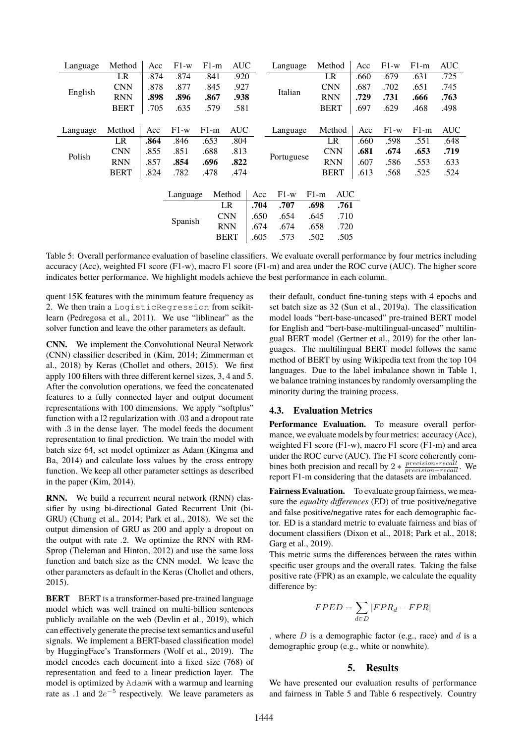| Language | Method      | Acc  | $F1-w$   | $F1-m$ | <b>AUC</b>  |      | Language   |             |             | Method     | Acc  | $F1-w$ | $F1-m$ | <b>AUC</b> |
|----------|-------------|------|----------|--------|-------------|------|------------|-------------|-------------|------------|------|--------|--------|------------|
|          | LR          | .874 | .874     | .841   | .920        |      | Italian    |             | LR          |            | .660 | .679   | .631   | .725       |
| English  | <b>CNN</b>  | .878 | .877     | .845   | .927        |      |            |             | <b>CNN</b>  |            | .687 | .702   | .651   | .745       |
|          | <b>RNN</b>  | .898 | .896     | .867   | .938        |      |            |             | <b>RNN</b>  |            | .729 | .731   | .666   | .763       |
|          | <b>BERT</b> | .705 | .635     | .579   | .581        |      |            | <b>BERT</b> |             | .697       | .629 | .468   | .498   |            |
|          |             |      |          |        |             |      |            |             |             |            |      |        |        |            |
| Language | Method      | Acc  | $F1-w$   | $F1-m$ | <b>AUC</b>  |      | Language   |             |             | Method     | Acc  | $F1-w$ | $F1-m$ | <b>AUC</b> |
|          | <b>LR</b>   | .864 | .846     | .653   | .804        |      | Portuguese |             |             | LR         | .660 | .598   | .551   | .648       |
| Polish   | <b>CNN</b>  | .855 | .851     | .688   | .813        |      |            |             |             | <b>CNN</b> | .681 | .674   | .653   | .719       |
|          | <b>RNN</b>  | .857 | .854     | .696   | .822        |      |            |             |             | <b>RNN</b> | .607 | .586   | .553   | .633       |
|          | <b>BERT</b> | .824 | .782     | .478   | .474        |      |            |             | <b>BERT</b> |            | .613 | .568   | .525   | .524       |
|          |             |      |          |        |             |      |            |             |             |            |      |        |        |            |
|          |             |      | Language |        | Method      | Acc  | $F1-w$     |             | $F1-m$      | <b>AUC</b> |      |        |        |            |
|          |             |      |          |        | LR          | .704 | .707       |             | .698        | .761       |      |        |        |            |
|          |             |      | Spanish  |        | <b>CNN</b>  | .650 | .654       |             | .645        | .710       |      |        |        |            |
|          |             |      |          |        | <b>RNN</b>  | .674 | .674       |             | .658        | .720       |      |        |        |            |
|          |             |      |          |        | <b>BERT</b> | .605 | .573       |             | .502        | .505       |      |        |        |            |
|          |             |      |          |        |             |      |            |             |             |            |      |        |        |            |

<span id="page-4-0"></span>Table 5: Overall performance evaluation of baseline classifiers. We evaluate overall performance by four metrics including accuracy (Acc), weighted F1 score (F1-w), macro F1 score (F1-m) and area under the ROC curve (AUC). The higher score indicates better performance. We highlight models achieve the best performance in each column.

quent 15K features with the minimum feature frequency as 2. We then train a LogisticRegression from scikitlearn [\(Pedregosa et al., 2011\)](#page-0-0). We use "liblinear" as the solver function and leave the other parameters as default.

**CNN.** We implement the Convolutional Neural Network (CNN) classifier described in [\(Kim, 2014; Zimmerman et](#page-0-0) [al., 2018\)](#page-0-0) by Keras [\(Chollet and others, 2015\)](#page-0-0). We first apply 100 filters with three different kernel sizes, 3, 4 and 5. After the convolution operations, we feed the concatenated features to a fully connected layer and output document representations with 100 dimensions. We apply "softplus" function with a l2 regularization with .03 and a dropout rate with .3 in the dense layer. The model feeds the document representation to final prediction. We train the model with batch size 64, set model optimizer as Adam [\(Kingma and](#page-0-0) [Ba, 2014\)](#page-0-0) and calculate loss values by the cross entropy function. We keep all other parameter settings as described in the paper [\(Kim, 2014\)](#page-0-0).

**RNN.** We build a recurrent neural network (RNN) classifier by using bi-directional Gated Recurrent Unit (bi-GRU) [\(Chung et al., 2014; Park et al., 2018\)](#page-0-0). We set the output dimension of GRU as 200 and apply a dropout on the output with rate .2. We optimize the RNN with RM-Sprop [\(Tieleman and Hinton, 2012\)](#page-0-0) and use the same loss function and batch size as the CNN model. We leave the other parameters as default in the Keras [\(Chollet and others,](#page-0-0) [2015\)](#page-0-0).

**BERT** BERT is a transformer-based pre-trained language model which was well trained on multi-billion sentences publicly available on the web [\(Devlin et al., 2019\)](#page-0-0), which can effectively generate the precise text semantics and useful signals. We implement a BERT-based classification model by HuggingFace's Transformers [\(Wolf et al., 2019\)](#page-0-0). The model encodes each document into a fixed size (768) of representation and feed to a linear prediction layer. The model is optimized by AdamW with a warmup and learning rate as .1 and  $2e^{-5}$  respectively. We leave parameters as

their default, conduct fine-tuning steps with 4 epochs and set batch size as 32 [\(Sun et al., 2019a\)](#page-0-0). The classification model loads "bert-base-uncased" pre-trained BERT model for English and "bert-base-multilingual-uncased" multilingual BERT model [\(Gertner et al., 2019\)](#page-0-0) for the other languages. The multilingual BERT model follows the same method of BERT by using Wikipedia text from the top 104 languages. Due to the label imbalance shown in Table [1,](#page-1-0) we balance training instances by randomly oversampling the minority during the training process.

#### **4.3. Evaluation Metrics**

**Performance Evaluation.** To measure overall performance, we evaluate models by four metrics: accuracy (Acc), weighted F1 score (F1-w), macro F1 score (F1-m) and area under the ROC curve (AUC). The F1 score coherently combines both precision and recall by  $2 * \frac{precision * recall}{precision + recall}$ . We report F1-m considering that the datasets are imbalanced.

**Fairness Evaluation.** To evaluate group fairness, we measure the *equality differences* (ED) of true positive/negative and false positive/negative rates for each demographic factor. ED is a standard metric to evaluate fairness and bias of document classifiers [\(Dixon et al., 2018; Park et al., 2018;](#page-0-0) [Garg et al., 2019\)](#page-0-0).

This metric sums the differences between the rates within specific user groups and the overall rates. Taking the false positive rate (FPR) as an example, we calculate the equality difference by:

$$
FPED = \sum_{d \in D} |FPR_d - FPR|
$$

, where  $D$  is a demographic factor (e.g., race) and  $d$  is a demographic group (e.g., white or nonwhite).

#### **5. Results**

We have presented our evaluation results of performance and fairness in Table [5](#page-4-0) and Table [6](#page-6-0) respectively. Country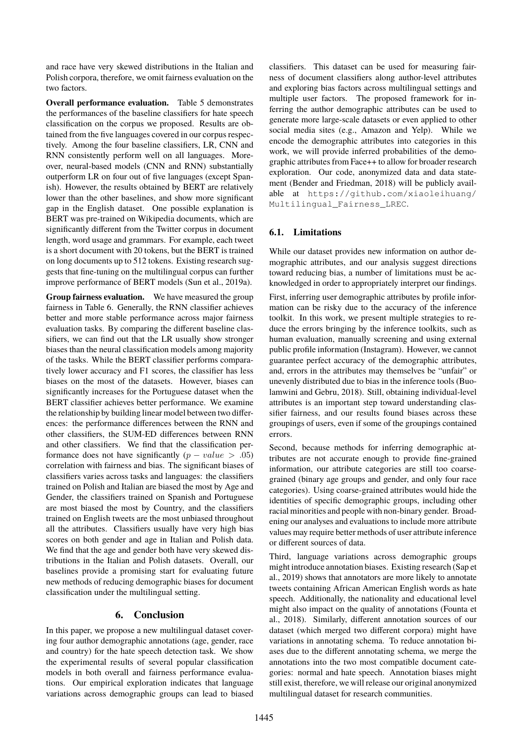and race have very skewed distributions in the Italian and Polish corpora, therefore, we omit fairness evaluation on the two factors.

**Overall performance evaluation.** Table [5](#page-4-0) demonstrates the performances of the baseline classifiers for hate speech classification on the corpus we proposed. Results are obtained from the five languages covered in our corpus respectively. Among the four baseline classifiers, LR, CNN and RNN consistently perform well on all languages. Moreover, neural-based models (CNN and RNN) substantially outperform LR on four out of five languages (except Spanish). However, the results obtained by BERT are relatively lower than the other baselines, and show more significant gap in the English dataset. One possible explanation is BERT was pre-trained on Wikipedia documents, which are significantly different from the Twitter corpus in document length, word usage and grammars. For example, each tweet is a short document with 20 tokens, but the BERT is trained on long documents up to 512 tokens. Existing research suggests that fine-tuning on the multilingual corpus can further improve performance of BERT models [\(Sun et al., 2019a\)](#page-0-0).

**Group fairness evaluation.** We have measured the group fairness in Table [6.](#page-6-0) Generally, the RNN classifier achieves better and more stable performance across major fairness evaluation tasks. By comparing the different baseline classifiers, we can find out that the LR usually show stronger biases than the neural classification models among majority of the tasks. While the BERT classifier performs comparatively lower accuracy and F1 scores, the classifier has less biases on the most of the datasets. However, biases can significantly increases for the Portuguese dataset when the BERT classifier achieves better performance. We examine the relationship by building linear model between two differences: the performance differences between the RNN and other classifiers, the SUM-ED differences between RNN and other classifiers. We find that the classification performance does not have significantly  $(p - value > .05)$ correlation with fairness and bias. The significant biases of classifiers varies across tasks and languages: the classifiers trained on Polish and Italian are biased the most by Age and Gender, the classifiers trained on Spanish and Portuguese are most biased the most by Country, and the classifiers trained on English tweets are the most unbiased throughout all the attributes. Classifiers usually have very high bias scores on both gender and age in Italian and Polish data. We find that the age and gender both have very skewed distributions in the Italian and Polish datasets. Overall, our baselines provide a promising start for evaluating future new methods of reducing demographic biases for document classification under the multilingual setting.

## **6. Conclusion**

In this paper, we propose a new multilingual dataset covering four author demographic annotations (age, gender, race and country) for the hate speech detection task. We show the experimental results of several popular classification models in both overall and fairness performance evaluations. Our empirical exploration indicates that language variations across demographic groups can lead to biased classifiers. This dataset can be used for measuring fairness of document classifiers along author-level attributes and exploring bias factors across multilingual settings and multiple user factors. The proposed framework for inferring the author demographic attributes can be used to generate more large-scale datasets or even applied to other social media sites (e.g., Amazon and Yelp). While we encode the demographic attributes into categories in this work, we will provide inferred probabilities of the demographic attributes from Face++ to allow for broader research exploration. Our code, anonymized data and data statement [\(Bender and Friedman, 2018\)](#page-0-0) will be publicly available at [https://github.com/xiaoleihuang/](https://github.com/xiaoleihuang/Multilingual_Fairness_LREC) [Multilingual\\_Fairness\\_LREC](https://github.com/xiaoleihuang/Multilingual_Fairness_LREC).

## **6.1. Limitations**

While our dataset provides new information on author demographic attributes, and our analysis suggest directions toward reducing bias, a number of limitations must be acknowledged in order to appropriately interpret our findings.

First, inferring user demographic attributes by profile information can be risky due to the accuracy of the inference toolkit. In this work, we present multiple strategies to reduce the errors bringing by the inference toolkits, such as human evaluation, manually screening and using external public profile information (Instagram). However, we cannot guarantee perfect accuracy of the demographic attributes, and, errors in the attributes may themselves be "unfair" or unevenly distributed due to bias in the inference tools [\(Buo](#page-0-0)[lamwini and Gebru, 2018\)](#page-0-0). Still, obtaining individual-level attributes is an important step toward understanding classifier fairness, and our results found biases across these groupings of users, even if some of the groupings contained errors.

Second, because methods for inferring demographic attributes are not accurate enough to provide fine-grained information, our attribute categories are still too coarsegrained (binary age groups and gender, and only four race categories). Using coarse-grained attributes would hide the identities of specific demographic groups, including other racial minorities and people with non-binary gender. Broadening our analyses and evaluations to include more attribute values may require better methods of user attribute inference or different sources of data.

Third, language variations across demographic groups might introduce annotation biases. Existing research [\(Sap et](#page-0-0) [al., 2019\)](#page-0-0) shows that annotators are more likely to annotate tweets containing African American English words as hate speech. Additionally, the nationality and educational level might also impact on the quality of annotations [\(Founta et](#page-0-0) [al., 2018\)](#page-0-0). Similarly, different annotation sources of our dataset (which merged two different corpora) might have variations in annotating schema. To reduce annotation biases due to the different annotating schema, we merge the annotations into the two most compatible document categories: normal and hate speech. Annotation biases might still exist, therefore, we will release our original anonymized multilingual dataset for research communities.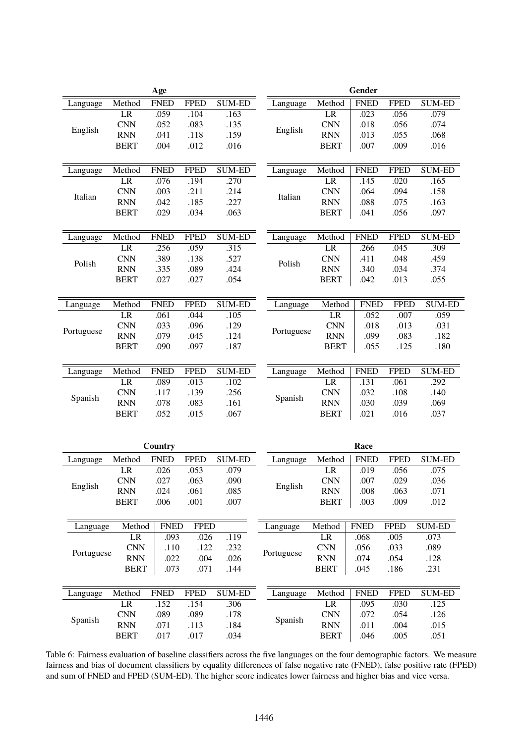|            |              | Age                 |             |               | Gender     |              |             |                     |               |
|------------|--------------|---------------------|-------------|---------------|------------|--------------|-------------|---------------------|---------------|
| Language   | Method       | <b>FNED</b>         | <b>FPED</b> | <b>SUM-ED</b> | Language   | Method       | <b>FNED</b> | <b>FPED</b>         | <b>SUM-ED</b> |
|            | LR           | .059                | .104        | .163          |            | LR           | .023        | .056                | .079          |
|            | <b>CNN</b>   | .052                | .083        | .135          |            | <b>CNN</b>   | .018        | .056                | .074          |
| English    | <b>RNN</b>   | .041                | .118        | .159          | English    | <b>RNN</b>   | .013        | .055                | .068          |
|            | <b>BERT</b>  | .004                | .012        | .016          |            | <b>BERT</b>  | .007        | .009                | .016          |
|            |              |                     |             |               |            |              |             |                     |               |
| Language   | Method       | <b>FNED</b>         | <b>FPED</b> | <b>SUM-ED</b> | Language   | Method       | <b>FNED</b> | <b>FPED</b>         | <b>SUM-ED</b> |
|            | LR           | .076                | .194        | .270          |            | LR           | .145        | .020                | .165          |
|            | <b>CNN</b>   | .003                | .211        | .214          |            | <b>CNN</b>   | .064        | .094                | .158          |
| Italian    | <b>RNN</b>   | .042                | .185        | .227          | Italian    | <b>RNN</b>   | .088        | .075                | .163          |
|            | <b>BERT</b>  | .029                | .034        | .063          |            | <b>BERT</b>  | .041        | .056                | .097          |
|            |              |                     |             |               |            |              |             |                     |               |
| Language   | Method       | <b>FNED</b>         | <b>FPED</b> | <b>SUM-ED</b> | Language   | Method       | <b>FNED</b> | <b>FPED</b>         | <b>SUM-ED</b> |
|            | LR           | .256                | .059        | .315          |            | LR           | .266        | .045                | .309          |
|            | <b>CNN</b>   | .389                | .138        | .527          |            | <b>CNN</b>   | .411        | .048                | .459          |
| Polish     | <b>RNN</b>   | .335                | .089        | .424          | Polish     | <b>RNN</b>   | .340        | .034                | .374          |
|            | <b>BERT</b>  | .027                | .027        | .054          |            | <b>BERT</b>  | .042        | .013                | .055          |
|            |              |                     |             |               |            |              |             |                     |               |
| Language   | Method       | <b>FNED</b>         | <b>FPED</b> | <b>SUM-ED</b> | Language   | Method       | <b>FNED</b> | <b>FPED</b>         | <b>SUM-ED</b> |
|            | LR           | .061                | .044        | .105          |            | LR           | .052        | .007                | .059          |
| Portuguese | <b>CNN</b>   | .033                | .096        | .129          |            | <b>CNN</b>   | .018        | .013                | .031          |
|            | <b>RNN</b>   | .079                | .045        | .124          | Portuguese | <b>RNN</b>   | .099        | .083                | .182          |
|            | <b>BERT</b>  | .090                | .097        | .187          |            | <b>BERT</b>  | .055        | .125                | .180          |
|            |              |                     |             |               |            |              |             |                     |               |
| Language   | Method       | <b>FNED</b>         | <b>FPED</b> | <b>SUM-ED</b> | Language   | Method       | <b>FNED</b> | <b>FPED</b>         | <b>SUM-ED</b> |
|            | LR           | .089                | .013        | .102          | Spanish    | LR           | .131        | .061                | .292          |
|            | <b>CNN</b>   | .117                | .139        | .256          |            | <b>CNN</b>   | .032        | .108                | .140          |
| Spanish    | <b>RNN</b>   | .078                | .083        | .161          |            | <b>RNN</b>   | .030        | .039                | .069          |
|            | <b>BERT</b>  | .052                | .015        | .067          |            | <b>BERT</b>  | .021        | .016                | .037          |
|            |              |                     |             |               |            |              |             |                     |               |
|            |              |                     |             |               |            |              |             |                     |               |
|            |              | Country             |             |               |            |              | Race        |                     |               |
| Language   | Method       | <b>FNED</b>         | <b>FPED</b> | <b>SUM-ED</b> | Language   | Method       | <b>FNED</b> | <b>FPED</b>         | <b>SUM-ED</b> |
|            | LR           | .026                | .053        | .079          |            | LR           | .019        | .056                | .075          |
| English    | $\mbox{CNN}$ | .027                | .063        | .090          | English    | CNN          | .007        | .029                | .036          |
|            | <b>RNN</b>   | .024                | .061        | .085          |            | <b>RNN</b>   | .008        | .063                | .071          |
|            | <b>BERT</b>  | .006                | .001        | .007          |            | <b>BERT</b>  | .003        | .009                | .012          |
|            |              |                     |             |               |            |              | <b>FNED</b> |                     |               |
| Language   | Method<br>LR | <b>FNED</b><br>.093 | <b>FPED</b> | .119          | Language   | Method<br>LR | .068        | <b>FPED</b><br>.005 | <b>SUM-ED</b> |
|            |              |                     | .026        |               |            |              |             |                     | .073          |
| Portuguese | <b>CNN</b>   | .110                | .122        | .232          | Portuguese | <b>CNN</b>   | .056        | .033                | .089          |
|            | <b>RNN</b>   | .022                | .004        | .026          |            | <b>RNN</b>   | .074        | .054                | .128          |
|            | <b>BERT</b>  | .073                | .071        | .144          |            | <b>BERT</b>  | .045        | .186                | .231          |
| Language   | Method       | <b>FNED</b>         | <b>FPED</b> | <b>SUM-ED</b> |            | Method       | <b>FNED</b> | <b>FPED</b>         | SUM-ED        |
|            | LR           | .152                | .154        | .306          | Language   | LR           | .095        | .030                | .125          |
|            | <b>CNN</b>   | .089                | .089        | .178          |            | <b>CNN</b>   | .072        | .054                | .126          |
| Spanish    | <b>RNN</b>   |                     |             |               | Spanish    | <b>RNN</b>   |             |                     |               |
|            |              | .071                | .113        | .184          |            |              | .011        | .004                | .015          |
|            | <b>BERT</b>  | .017                | .017        | .034          |            | <b>BERT</b>  | .046        | .005                | .051          |

<span id="page-6-0"></span>Table 6: Fairness evaluation of baseline classifiers across the five languages on the four demographic factors. We measure fairness and bias of document classifiers by equality differences of false negative rate (FNED), false positive rate (FPED) and sum of FNED and FPED (SUM-ED). The higher score indicates lower fairness and higher bias and vice versa.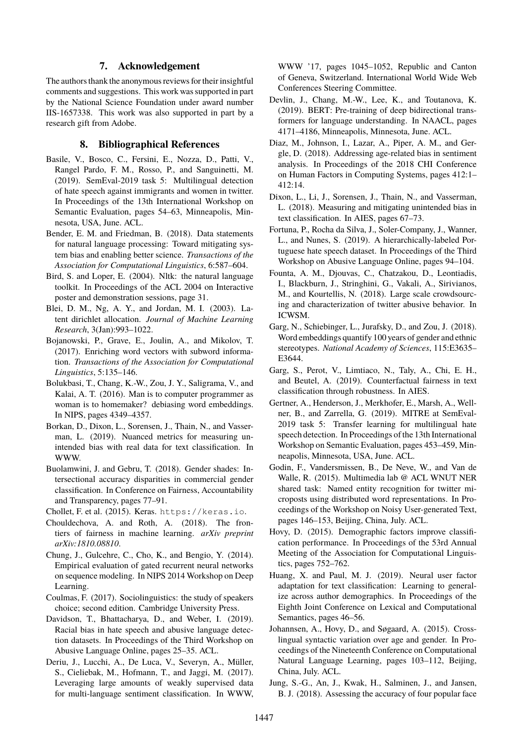### **7. Acknowledgement**

The authors thank the anonymous reviews for their insightful comments and suggestions. This work was supported in part by the National Science Foundation under award number IIS-1657338. This work was also supported in part by a research gift from Adobe.

# **8. Bibliographical References**

- Basile, V., Bosco, C., Fersini, E., Nozza, D., Patti, V., Rangel Pardo, F. M., Rosso, P., and Sanguinetti, M. (2019). SemEval-2019 task 5: Multilingual detection of hate speech against immigrants and women in twitter. In Proceedings of the 13th International Workshop on Semantic Evaluation, pages 54–63, Minneapolis, Minnesota, USA, June. ACL.
- Bender, E. M. and Friedman, B. (2018). Data statements for natural language processing: Toward mitigating system bias and enabling better science. *Transactions of the Association for Computational Linguistics*, 6:587–604.
- Bird, S. and Loper, E. (2004). Nltk: the natural language toolkit. In Proceedings of the ACL 2004 on Interactive poster and demonstration sessions, page 31.
- Blei, D. M., Ng, A. Y., and Jordan, M. I. (2003). Latent dirichlet allocation. *Journal of Machine Learning Research*, 3(Jan):993–1022.
- Bojanowski, P., Grave, E., Joulin, A., and Mikolov, T. (2017). Enriching word vectors with subword information. *Transactions of the Association for Computational Linguistics*, 5:135–146.
- Bolukbasi, T., Chang, K.-W., Zou, J. Y., Saligrama, V., and Kalai, A. T. (2016). Man is to computer programmer as woman is to homemaker? debiasing word embeddings. In NIPS, pages 4349–4357.
- Borkan, D., Dixon, L., Sorensen, J., Thain, N., and Vasserman, L. (2019). Nuanced metrics for measuring unintended bias with real data for text classification. In WWW.
- Buolamwini, J. and Gebru, T. (2018). Gender shades: Intersectional accuracy disparities in commercial gender classification. In Conference on Fairness, Accountability and Transparency, pages 77–91.
- Chollet, F. et al. (2015). Keras. <https://keras.io>.
- Chouldechova, A. and Roth, A. (2018). The frontiers of fairness in machine learning. *arXiv preprint arXiv:1810.08810*.
- Chung, J., Gulcehre, C., Cho, K., and Bengio, Y. (2014). Empirical evaluation of gated recurrent neural networks on sequence modeling. In NIPS 2014 Workshop on Deep Learning.
- Coulmas, F. (2017). Sociolinguistics: the study of speakers choice; second edition. Cambridge University Press.
- Davidson, T., Bhattacharya, D., and Weber, I. (2019). Racial bias in hate speech and abusive language detection datasets. In Proceedings of the Third Workshop on Abusive Language Online, pages 25–35. ACL.
- Deriu, J., Lucchi, A., De Luca, V., Severyn, A., Müller, S., Cieliebak, M., Hofmann, T., and Jaggi, M. (2017). Leveraging large amounts of weakly supervised data for multi-language sentiment classification. In WWW,

WWW '17, pages 1045–1052, Republic and Canton of Geneva, Switzerland. International World Wide Web Conferences Steering Committee.

- Devlin, J., Chang, M.-W., Lee, K., and Toutanova, K. (2019). BERT: Pre-training of deep bidirectional transformers for language understanding. In NAACL, pages 4171–4186, Minneapolis, Minnesota, June. ACL.
- Diaz, M., Johnson, I., Lazar, A., Piper, A. M., and Gergle, D. (2018). Addressing age-related bias in sentiment analysis. In Proceedings of the 2018 CHI Conference on Human Factors in Computing Systems, pages 412:1– 412:14.
- Dixon, L., Li, J., Sorensen, J., Thain, N., and Vasserman, L. (2018). Measuring and mitigating unintended bias in text classification. In AIES, pages 67–73.
- Fortuna, P., Rocha da Silva, J., Soler-Company, J., Wanner, L., and Nunes, S. (2019). A hierarchically-labeled Portuguese hate speech dataset. In Proceedings of the Third Workshop on Abusive Language Online, pages 94–104.
- Founta, A. M., Djouvas, C., Chatzakou, D., Leontiadis, I., Blackburn, J., Stringhini, G., Vakali, A., Sirivianos, M., and Kourtellis, N. (2018). Large scale crowdsourcing and characterization of twitter abusive behavior. In ICWSM.
- Garg, N., Schiebinger, L., Jurafsky, D., and Zou, J. (2018). Word embeddings quantify 100 years of gender and ethnic stereotypes. *National Academy of Sciences*, 115:E3635– E3644.
- Garg, S., Perot, V., Limtiaco, N., Taly, A., Chi, E. H., and Beutel, A. (2019). Counterfactual fairness in text classification through robustness. In AIES.
- Gertner, A., Henderson, J., Merkhofer, E., Marsh, A., Wellner, B., and Zarrella, G. (2019). MITRE at SemEval-2019 task 5: Transfer learning for multilingual hate speech detection. In Proceedings of the 13th International Workshop on Semantic Evaluation, pages 453–459, Minneapolis, Minnesota, USA, June. ACL.
- Godin, F., Vandersmissen, B., De Neve, W., and Van de Walle, R. (2015). Multimedia lab @ ACL WNUT NER shared task: Named entity recognition for twitter microposts using distributed word representations. In Proceedings of the Workshop on Noisy User-generated Text, pages 146–153, Beijing, China, July. ACL.
- Hovy, D. (2015). Demographic factors improve classification performance. In Proceedings of the 53rd Annual Meeting of the Association for Computational Linguistics, pages 752–762.
- Huang, X. and Paul, M. J. (2019). Neural user factor adaptation for text classification: Learning to generalize across author demographics. In Proceedings of the Eighth Joint Conference on Lexical and Computational Semantics, pages 46–56.
- Johannsen, A., Hovy, D., and Søgaard, A. (2015). Crosslingual syntactic variation over age and gender. In Proceedings of the Nineteenth Conference on Computational Natural Language Learning, pages 103–112, Beijing, China, July. ACL.
- Jung, S.-G., An, J., Kwak, H., Salminen, J., and Jansen, B. J. (2018). Assessing the accuracy of four popular face